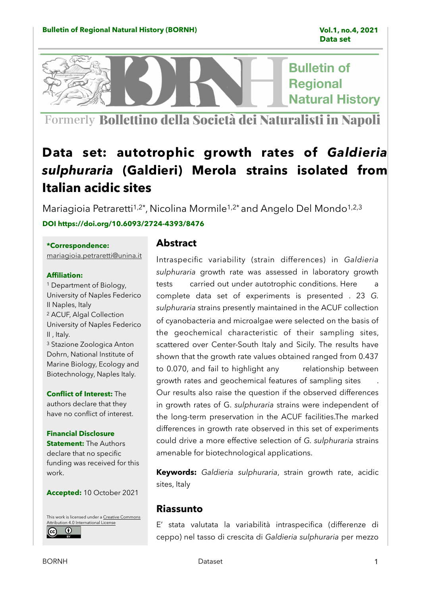**Bulletin of Regional Natural History** 

Formerly Bollettino della Società dei Naturalisti in Napoli

# **Data set: autotrophic growth rates of** *Galdieria sulphuraria* **(Galdieri) Merola strains isolated from Italian acidic sites**

Mariagioia Petraretti<sup>1,2\*</sup>, Nicolina Mormile<sup>1,2\*</sup> and Angelo Del Mondo<sup>1,2,3</sup> **DOI https://doi.org/10.6093/2724-4393/8476** 

## **\*Correspondence:**

[mariagioia.petraretti@unina.it](mailto:mariagioia.petraretti@unina.it)

## **Affiliation:**

1 Department of Biology, University of Naples Federico II Naples, Italy 2 ACUF, Algal Collection University of Naples Federico II , Italy. 3 Stazione Zoologica Anton Dohrn, National Institute of Marine Biology, Ecology and

**Conflict of Interest:** The authors declare that they have no conflict of interest.

Biotechnology, Naples Italy.

## **Financial Disclosure**

**Statement:** The Authors declare that no specific funding was received for this work.

**Accepted:** 10 October 2021

[This work is licensed under a](http://creativecommons.org/licenses/by/4.0/) [Creative Commons](http://creativecommons.org/licenses/by/4.0/)  tribution 4.0 International License  $\overline{r}$ 

## **Abstract**

Intraspecific variability (strain differences) in *Galdieria sulphuraria* growth rate was assessed in laboratory growth tests carried out under autotrophic conditions. Here a complete data set of experiments is presented . 23 *G. sulphuraria* strains presently maintained in the ACUF collection of cyanobacteria and microalgae were selected on the basis of the geochemical characteristic of their sampling sites, scattered over Center-South Italy and Sicily. The results have shown that the growth rate values obtained ranged from 0.437 to 0.070, and fail to highlight any relationship between growth rates and geochemical features of sampling sites . Our results also raise the question if the observed differences in growth rates of G. *sulphuraria* strains were independent of the long-term preservation in the ACUF facilities.The marked differences in growth rate observed in this set of experiments could drive a more effective selection of *G. sulphuraria* strains amenable for biotechnological applications.

**Keywords:** *Galdieria sulphuraria*, strain growth rate, acidic sites, Italy

# **Riassunto**

E' stata valutata la variabilità intraspecifica (differenze di ceppo) nel tasso di crescita di *Galdieria sulphuraria* per mezzo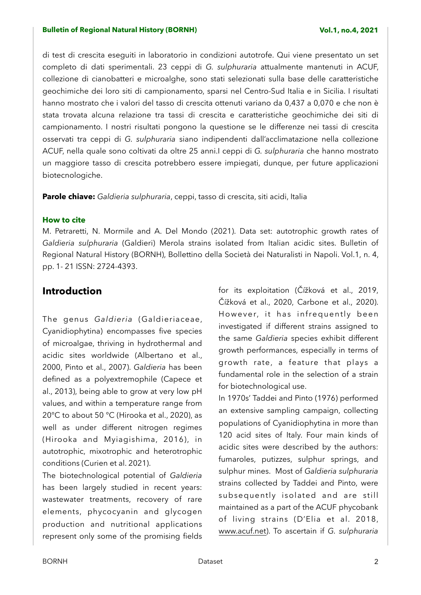di test di crescita eseguiti in laboratorio in condizioni autotrofe. Qui viene presentato un set completo di dati sperimentali. 23 ceppi di *G. sulphuraria* attualmente mantenuti in ACUF, collezione di cianobatteri e microalghe, sono stati selezionati sulla base delle caratteristiche geochimiche dei loro siti di campionamento, sparsi nel Centro-Sud Italia e in Sicilia. I risultati hanno mostrato che i valori del tasso di crescita ottenuti variano da 0,437 a 0,070 e che non è stata trovata alcuna relazione tra tassi di crescita e caratteristiche geochimiche dei siti di campionamento. I nostri risultati pongono la questione se le differenze nei tassi di crescita osservati tra ceppi di *G. sulphuraria* siano indipendenti dall'acclimatazione nella collezione ACUF, nella quale sono coltivati da oltre 25 anni.I ceppi di *G. sulphuraria* che hanno mostrato un maggiore tasso di crescita potrebbero essere impiegati, dunque, per future applicazioni biotecnologiche.

**Parole chiave:** *Galdieria sulphuraria*, ceppi, tasso di crescita, siti acidi, Italia

## **How to cite**

M. Petraretti, N. Mormile and A. Del Mondo (2021). Data set: autotrophic growth rates of *Galdieria sulphuraria* (Galdieri) Merola strains isolated from Italian acidic sites. Bulletin of Regional Natural History (BORNH), Bollettino della Società dei Naturalisti in Napoli. Vol.1, n. 4, pp. 1- 21 ISSN: 2724-4393.

# **Introduction**

The genus *Galdieria* (Galdieriaceae, Cyanidiophytina) encompasses five species of microalgae, thriving in hydrothermal and acidic sites worldwide (Albertano et al., 2000, Pinto et al., 2007). *Galdieria* has been defined as a polyextremophile (Capece et al., 2013), being able to grow at very low pH values, and within a temperature range from 20°C to about 50 °C (Hirooka et al., 2020), as well as under different nitrogen regimes (Hirooka and Myiagishima, 2016), in autotrophic, mixotrophic and heterotrophic conditions (Curien et al. 2021).

The biotechnological potential of *Galdieria* has been largely studied in recent years: wastewater treatments, recovery of rare elements, phycocyanin and glycogen production and nutritional applications represent only some of the promising fields for its exploitation (Čížková et al., 2019, Čížková et al., 2020, Carbone et al., 2020). However, it has infrequently been investigated if different strains assigned to the same *Galdieria* species exhibit different growth performances, especially in terms of growth rate, a feature that plays a fundamental role in the selection of a strain for biotechnological use.

In 1970s' Taddei and Pinto (1976) performed an extensive sampling campaign, collecting populations of Cyanidiophytina in more than 120 acid sites of Italy. Four main kinds of acidic sites were described by the authors: fumaroles, putizzes, sulphur springs, and sulphur mines. Most of *Galdieria sulphuraria* strains collected by Taddei and Pinto, were subsequently isolated and are still maintained as a part of the ACUF phycobank of living strains (D'Elia et al. 2018, [www.acuf.net](http://www.acuf.net)). To ascertain if *G. sulphuraria*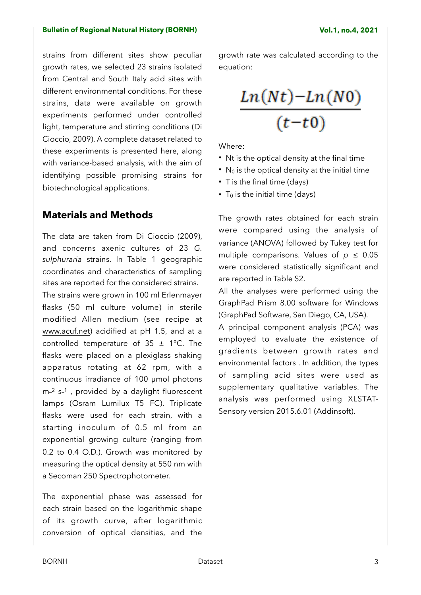strains from different sites show peculiar growth rates, we selected 23 strains isolated from Central and South Italy acid sites with different environmental conditions. For these strains, data were available on growth experiments performed under controlled light, temperature and stirring conditions (Di Cioccio, 2009). A complete dataset related to these experiments is presented here, along with variance-based analysis, with the aim of identifying possible promising strains for biotechnological applications.

# **Materials and Methods**

The data are taken from Di Cioccio (2009), and concerns axenic cultures of 23 *G. sulphuraria* strains. In Table 1 geographic coordinates and characteristics of sampling sites are reported for the considered strains. The strains were grown in 100 ml Erlenmayer flasks (50 ml culture volume) in sterile modified Allen medium (see recipe at [www.acuf.net](http://www.acuf.net)) acidified at pH 1.5, and at a controlled temperature of  $35 \pm 1^{\circ}$ C. The flasks were placed on a plexiglass shaking apparatus rotating at 62 rpm, with a continuous irradiance of 100 µmol photons m<sup>-2</sup> s<sup>-1</sup>, provided by a daylight fluorescent lamps (Osram Lumilux T5 FC). Triplicate flasks were used for each strain, with a starting inoculum of 0.5 ml from an exponential growing culture (ranging from 0.2 to 0.4 O.D.). Growth was monitored by measuring the optical density at 550 nm with a Secoman 250 Spectrophotometer.

The exponential phase was assessed for each strain based on the logarithmic shape of its growth curve, after logarithmic conversion of optical densities, and the growth rate was calculated according to the equation:

$$
\frac{Ln(Nt)-Ln(N0)}{(t-t0)}
$$

Where:

- Nt is the optical density at the final time
- $\bullet$  N<sub>0</sub> is the optical density at the initial time
- T is the final time (days)
- $T_0$  is the initial time (days)

The growth rates obtained for each strain were compared using the analysis of variance (ANOVA) followed by Tukey test for multiple comparisons. Values of  $p \leq 0.05$ were considered statistically significant and are reported in Table S2.

All the analyses were performed using the GraphPad Prism 8.00 software for Windows (GraphPad Software, San Diego, CA, USA).

A principal component analysis (PCA) was employed to evaluate the existence of gradients between growth rates and environmental factors . In addition, the types of sampling acid sites were used as supplementary qualitative variables. The analysis was performed using XLSTAT-Sensory version 2015.6.01 (Addinsoft).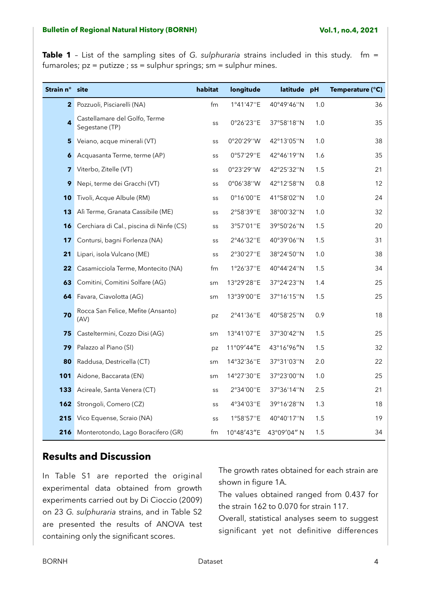**Table 1** - List of the sampling sites of *G. sulphuraria* strains included in this study. fm = fumaroles; pz = putizze ; ss = sulphur springs; sm = sulphur mines.

| Strain n°               | site                                            | habitat | longitude  | latitude pH |     | Temperature (°C) |
|-------------------------|-------------------------------------------------|---------|------------|-------------|-----|------------------|
| $\mathbf{2}^-$          | Pozzuoli, Pisciarelli (NA)                      | fm      | 1°41'47"E  | 40°49'46"N  | 1.0 | 36               |
| 4                       | Castellamare del Golfo, Terme<br>Segestane (TP) | SS      | 0°26'23"E  | 37°58'18"N  | 1.0 | 35               |
| 5                       | Veiano, acque minerali (VT)                     | SS      | 0°20'29"W  | 42°13'05"N  | 1.0 | 38               |
| 6                       | Acquasanta Terme, terme (AP)                    | SS      | 0°57'29"E  | 42°46'19"N  | 1.6 | 35               |
| $\overline{\mathbf{z}}$ | Viterbo, Zitelle (VT)                           | SS      | 0°23'29"W  | 42°25'32"N  | 1.5 | 21               |
| 9                       | Nepi, terme dei Gracchi (VT)                    | SS      | 0°06'38"W  | 42°12'58"N  | 0.8 | 12               |
| 10                      | Tivoli, Acque Albule (RM)                       | SS      | 0°16'00"E  | 41°58'02"N  | 1.0 | 24               |
| 13                      | Alì Terme, Granata Cassibile (ME)               | SS      | 2°58'39"E  | 38°00'32"N  | 1.0 | 32               |
| 16                      | Cerchiara di Cal., piscina di Ninfe (CS)        | SS      | 3°57'01"E  | 39°50'26"N  | 1.5 | 20               |
| 17                      | Contursi, bagni Forlenza (NA)                   | SS      | 2°46'32"E  | 40°39'06"N  | 1.5 | 31               |
| 21                      | Lipari, isola Vulcano (ME)                      | SS      | 2°30'27"E  | 38°24'50"N  | 1.0 | 38               |
| 22                      | Casamicciola Terme, Montecito (NA)              | fm      | 1°26'37"E  | 40°44'24"N  | 1.5 | 34               |
| 63                      | Comitini, Comitini Solfare (AG)                 | sm      | 13°29'28"E | 37°24'23"N  | 1.4 | 25               |
| 64                      | Favara, Ciavolotta (AG)                         | sm      | 13°39'00"E | 37°16'15"N  | 1.5 | 25               |
| 70                      | Rocca San Felice, Mefite (Ansanto)<br>(AV)      | pz      | 2°41'36"E  | 40°58'25"N  | 0.9 | 18               |
| 75                      | Casteltermini, Cozzo Disi (AG)                  | sm      | 13°41'07"E | 37°30'42"N  | 1.5 | 25               |
| 79                      | Palazzo al Piano (SI)                           | pz      | 11°09'44"E | 43°16'96"N  | 1.5 | 32               |
| 80                      | Raddusa, Destricella (CT)                       | sm      | 14°32'36"E | 37°31'03"N  | 2.0 | 22               |
| 101                     | Aidone, Baccarata (EN)                          | sm      | 14°27'30"E | 37°23'00"N  | 1.0 | 25               |
| 133                     | Acireale, Santa Venera (CT)                     | SS      | 2°34'00"E  | 37°36'14"N  | 2.5 | 21               |
| 162                     | Strongoli, Comero (CZ)                          | SS      | 4°34'03"E  | 39°16'28"N  | 1.3 | 18               |
| 215                     | Vico Equense, Scraio (NA)                       | SS      | 1°58'57"E  | 40°40'17"N  | 1.5 | 19               |
| 216                     | Monterotondo, Lago Boracifero (GR)              | fm      | 10°48'43"E | 43°09'04" N | 1.5 | 34               |

# **Results and Discussion**

In Table S1 are reported the original experimental data obtained from growth experiments carried out by Di Cioccio (2009) on 23 *G. sulphuraria* strains, and in Table S2 are presented the results of ANOVA test containing only the significant scores.

The growth rates obtained for each strain are shown in figure 1A.

The values obtained ranged from 0.437 for the strain 162 to 0.070 for strain 117.

Overall, statistical analyses seem to suggest significant yet not definitive differences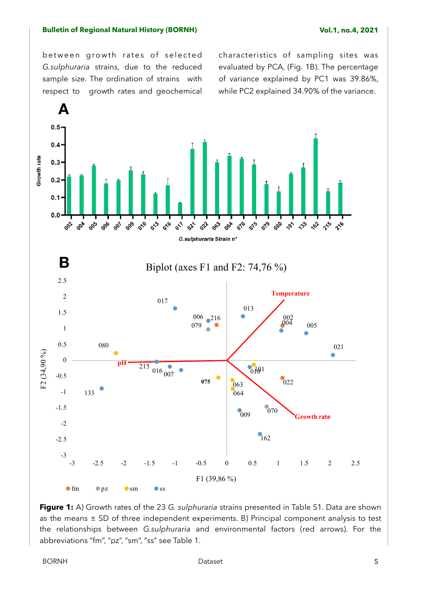between growth rates of selected *G.sulphuraria* strains, due to the reduced sample size. The ordination of strains with respect to growth rates and geochemical characteristics of sampling sites was evaluated by PCA, (Fig. 1B). The percentage of variance explained by PC1 was 39.86%, while PC2 explained 34.90% of the variance.



**Figure 1:** A) Growth rates of the 23 *G. sulphuraria* strains presented in Table S1. Data are shown as the means  $\pm$  SD of three independent experiments. B) Principal component analysis to test the relationships between *G.sulphuraria* and environmental factors (red arrows). For the abbreviations "fm", "pz", "sm", "ss" see Table 1.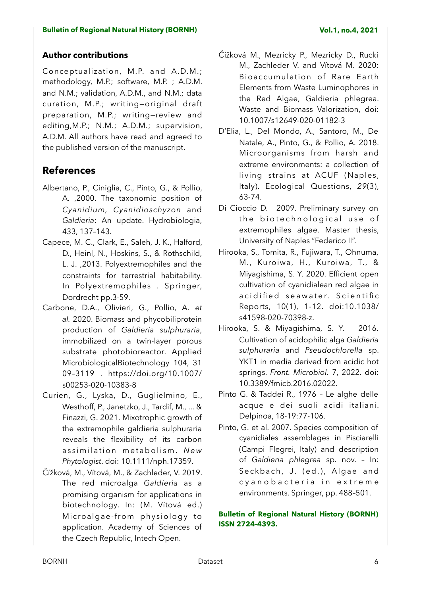# **Author contributions**

Conceptualization, M.P. and A.D.M.; methodology, M.P.; software, M.P. ; A.D.M. and N.M.; validation, A.D.M., and N.M.; data curation, M.P.; writing—original draft preparation, M.P.; writing—review and editing,M.P.; N.M.; A.D.M.; supervision, A.D.M. All authors have read and agreed to the published version of the manuscript.

# **References**

- Albertano, P., Ciniglia, C., Pinto, G., & Pollio, A. ,2000. The taxonomic position of *Cyanidium, Cyanidioschyzon* and *Galdieria*: An update. Hydrobiologia, 433, 137–143.
- Capece, M. C., Clark, E., Saleh, J. K., Halford, D., Heinl, N., Hoskins, S., & Rothschild, L. J. ,2013. Polyextremophiles and the constraints for terrestrial habitability. In Polyextremophiles . Springer, Dordrecht pp.3-59.
- Carbone, D.A., Olivieri, G., Pollio, A. *et al.* 2020. Biomass and phycobiliprotein production of *Galdieria sulphuraria*, immobilized on a twin-layer porous substrate photobioreactor. Applied MicrobiologicalBiotechnology 104, 31 09–3119 . https://doi.org/10.1007/ s00253-020-10383-8
- Curien, G., Lyska, D., Guglielmino, E., Westhoff, P., Janetzko, J., Tardif, M., ... & Finazzi, G. 2021. Mixotrophic growth of the extremophile galdieria sulphuraria reveals the flexibility of its carbon assimilation metabolism. New *Phytologist*. doi: 10.1111/nph.17359.
- Čížková, M., Vítová, M., & Zachleder, V. 2019. The red microalga *Galdieria* as a promising organism for applications in biotechnology. In: (M. Vítová ed.) Microalgae-from physiology to application. Academy of Sciences of the Czech Republic, Intech Open.
- Čížková M., Mezricky P., Mezricky D., Rucki M., Zachleder V. and Vítová M. 2020: Bioaccumulation of Rare Earth Elements from Waste Luminophores in the Red Algae, Galdieria phlegrea. Waste and Biomass Valorization, [doi:](https://doi.org/10.1007/s12649-020-01182-3) [10.1007/s12649-020-01182-3](https://doi.org/10.1007/s12649-020-01182-3)
- D'Elia, L., Del Mondo, A., Santoro, M., De Natale, A., Pinto, G., & Pollio, A. 2018. Microorganisms from harsh and extreme environments: a collection of living strains at ACUF (Naples, Italy). Ecological Questions, *29*(3), 63-74.
- Di Cioccio D. 2009. Preliminary survey on the biotechnological use of extremophiles algae. Master thesis, University of Naples "Federico II".
- Hirooka, S., Tomita, R., Fujiwara, T., Ohnuma, M., Kuroiwa, H., Kuroiwa, T., & Miyagishima, S. Y. 2020. Efficient open cultivation of cyanidialean red algae in a cidified seawater. Scientific Reports, 10(1), 1-12. doi:10.1038/ s41598-020-70398-z.
- Hirooka, S. & Miyagishima, S. Y. 2016. Cultivation of acidophilic alga *Galdieria sulphuraria* and *Pseudochlorella* sp. YKT1 in media derived from acidic hot springs. *Front. Microbiol.* 7, 2022. [doi:](https://doi.org/10.3389/fmicb.2016.02022) [10.3389/fmicb.2016.02022](https://doi.org/10.3389/fmicb.2016.02022).
- Pinto G. & Taddei R., 1976 Le alghe delle acque e dei suoli acidi italiani. Delpinoa, 18-19:77-106.
- Pinto, G. et al. 2007. Species composition of cyanidiales assemblages in Pisciarelli (Campi Flegrei, Italy) and description of *Galdieria phlegrea* sp. nov. – In: Seckbach, J. (ed.), Algae and c y a n o b a c t e r i a in e x t r e m e environments. Springer, pp. 488–501.

## **Bulletin of Regional Natural History (BORNH) ISSN 2724-4393.**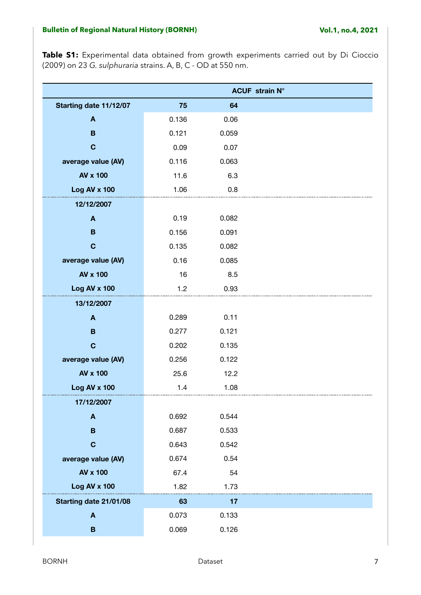**Table S1:** Experimental data obtained from growth experiments carried out by Di Cioccio (2009) on 23 *G. sulphuraria* strains. A, B, C - OD at 550 nm.

|                        |       |       | <b>ACUF</b> strain N° |
|------------------------|-------|-------|-----------------------|
| Starting date 11/12/07 | 75    | 64    |                       |
| A                      | 0.136 | 0.06  |                       |
| B                      | 0.121 | 0.059 |                       |
| $\mathbf C$            | 0.09  | 0.07  |                       |
| average value (AV)     | 0.116 | 0.063 |                       |
| AV x 100               | 11.6  | 6.3   |                       |
| Log AV x 100           | 1.06  | 0.8   |                       |
| 12/12/2007             |       |       |                       |
| $\boldsymbol{A}$       | 0.19  | 0.082 |                       |
| B                      | 0.156 | 0.091 |                       |
| $\mathbf C$            | 0.135 | 0.082 |                       |
| average value (AV)     | 0.16  | 0.085 |                       |
| <b>AV x 100</b>        | 16    | 8.5   |                       |
| Log AV x 100           | 1.2   | 0.93  |                       |
| 13/12/2007             |       |       |                       |
| $\boldsymbol{A}$       | 0.289 | 0.11  |                       |
| $\mathbf B$            | 0.277 | 0.121 |                       |
| $\mathbf C$            | 0.202 | 0.135 |                       |
| average value (AV)     | 0.256 | 0.122 |                       |
| AV x 100               | 25.6  | 12.2  |                       |
| Log AV x 100           | 1.4   | 1.08  |                       |
| 17/12/2007             |       |       |                       |
| $\boldsymbol{A}$       | 0.692 | 0.544 |                       |
| B                      | 0.687 | 0.533 |                       |
| $\mathbf C$            | 0.643 | 0.542 |                       |
| average value (AV)     | 0.674 | 0.54  |                       |
| AV x 100               | 67.4  | 54    |                       |
| Log AV x 100           | 1.82  | 1.73  |                       |
| Starting date 21/01/08 | 63    | 17    |                       |
| $\boldsymbol{A}$       | 0.073 | 0.133 |                       |
| $\, {\bf B}$           | 0.069 | 0.126 |                       |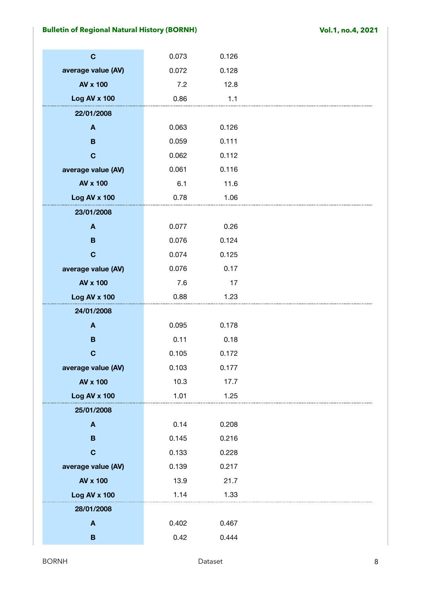| $\mathbf C$         | 0.073 | 0.126 |  |
|---------------------|-------|-------|--|
| average value (AV)  | 0.072 | 0.128 |  |
| AV x 100            | 7.2   | 12.8  |  |
| Log AV x 100        | 0.86  | 1.1   |  |
| 22/01/2008          |       |       |  |
| $\boldsymbol{A}$    | 0.063 | 0.126 |  |
| $\mathbf B$         | 0.059 | 0.111 |  |
| $\mathbf C$         | 0.062 | 0.112 |  |
| average value (AV)  | 0.061 | 0.116 |  |
| AV x 100            | 6.1   | 11.6  |  |
| <b>Log AV x 100</b> | 0.78  | 1.06  |  |
| 23/01/2008          |       |       |  |
| $\boldsymbol{A}$    | 0.077 | 0.26  |  |
| $\mathbf B$         | 0.076 | 0.124 |  |
| $\mathbf C$         | 0.074 | 0.125 |  |
| average value (AV)  | 0.076 | 0.17  |  |
| AV x 100            | 7.6   | 17    |  |
| Log AV x 100        | 0.88  | 1.23  |  |
| 24/01/2008          |       |       |  |
| $\mathbf{A}$        | 0.095 | 0.178 |  |
| $\, {\bf B}$        | 0.11  | 0.18  |  |
| $\mathbf C$         | 0.105 | 0.172 |  |
| average value (AV)  | 0.103 | 0.177 |  |
| <b>AV x 100</b>     | 10.3  | 17.7  |  |
| Log AV x 100        | 1.01  | 1.25  |  |
| 25/01/2008          |       |       |  |
| $\boldsymbol{A}$    | 0.14  | 0.208 |  |
| B                   | 0.145 | 0.216 |  |
| $\mathbf C$         | 0.133 | 0.228 |  |
| average value (AV)  | 0.139 | 0.217 |  |
| AV x 100            | 13.9  | 21.7  |  |
| <b>Log AV x 100</b> | 1.14  | 1.33  |  |
| 28/01/2008          |       |       |  |
| $\boldsymbol{A}$    | 0.402 | 0.467 |  |
| $\, {\bf B}$        | 0.42  | 0.444 |  |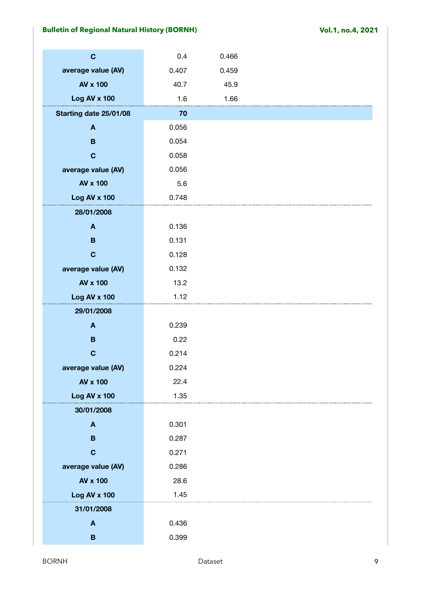| $\mathbf C$            | 0.4   | 0.466 |  |
|------------------------|-------|-------|--|
| average value (AV)     | 0.407 | 0.459 |  |
| AV x 100               | 40.7  | 45.9  |  |
| <b>Log AV x 100</b>    | 1.6   | 1.66  |  |
| Starting date 25/01/08 | 70    |       |  |
| $\boldsymbol{A}$       | 0.056 |       |  |
| $\mathbf B$            | 0.054 |       |  |
| $\mathbf C$            | 0.058 |       |  |
| average value (AV)     | 0.056 |       |  |
| AV x 100               | 5.6   |       |  |
| Log AV x 100           | 0.748 |       |  |
| 28/01/2008             |       |       |  |
| $\boldsymbol{A}$       | 0.136 |       |  |
| $\mathbf B$            | 0.131 |       |  |
| $\mathbf C$            | 0.128 |       |  |
| average value (AV)     | 0.132 |       |  |
| AV x 100               | 13.2  |       |  |
| <b>Log AV x 100</b>    | 1.12  |       |  |
| 29/01/2008             |       |       |  |
| $\mathbf{A}$           | 0.239 |       |  |
| $\, {\bf B}$           | 0.22  |       |  |
| $\mathbf C$            | 0.214 |       |  |
| average value (AV)     | 0.224 |       |  |
| <b>AV x 100</b>        | 22.4  |       |  |
| Log AV x 100           | 1.35  |       |  |
| 30/01/2008             |       |       |  |
| $\mathbf{A}$           | 0.301 |       |  |
| B                      | 0.287 |       |  |
| $\mathbf C$            | 0.271 |       |  |
| average value (AV)     | 0.286 |       |  |
| <b>AV x 100</b>        | 28.6  |       |  |
| Log AV x 100           | 1.45  |       |  |
| 31/01/2008             |       |       |  |
| $\boldsymbol{A}$       | 0.436 |       |  |
| $\mathbf B$            | 0.399 |       |  |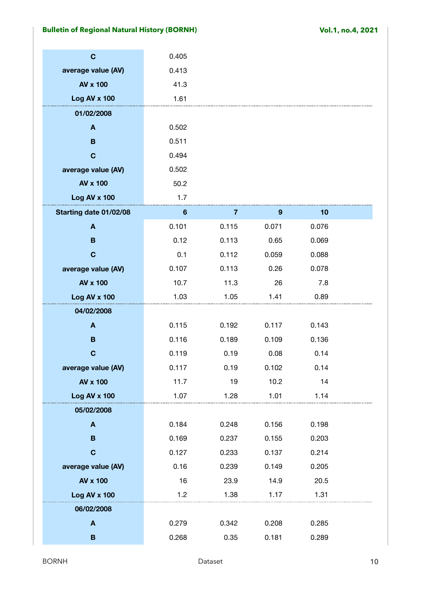| $\mathbf C$            | 0.405           |       |       |       |  |
|------------------------|-----------------|-------|-------|-------|--|
| average value (AV)     | 0.413           |       |       |       |  |
| AV x 100               | 41.3            |       |       |       |  |
| Log AV x 100           | 1.61            |       |       |       |  |
| 01/02/2008             |                 |       |       |       |  |
| $\boldsymbol{A}$       | 0.502           |       |       |       |  |
| $\mathbf B$            | 0.511           |       |       |       |  |
| $\mathbf C$            | 0.494           |       |       |       |  |
| average value (AV)     | 0.502           |       |       |       |  |
| AV x 100               | 50.2            |       |       |       |  |
| Log AV x 100           | 1.7             |       |       |       |  |
| Starting date 01/02/08 | $6\phantom{1}6$ | 7     | 9     | 10    |  |
| $\boldsymbol{A}$       | 0.101           | 0.115 | 0.071 | 0.076 |  |
| B                      | 0.12            | 0.113 | 0.65  | 0.069 |  |
| $\mathbf C$            | 0.1             | 0.112 | 0.059 | 0.088 |  |
| average value (AV)     | 0.107           | 0.113 | 0.26  | 0.078 |  |
| AV x 100               | 10.7            | 11.3  | 26    | 7.8   |  |
| Log AV x 100           | 1.03            | 1.05  | 1.41  | 0.89  |  |
| 04/02/2008             |                 |       |       |       |  |
| A                      | 0.115           | 0.192 | 0.117 | 0.143 |  |
| $\mathbf B$            | 0.116           | 0.189 | 0.109 | 0.136 |  |
| $\mathbf C$            | 0.119           | 0.19  | 0.08  | 0.14  |  |
| average value (AV)     | 0.117           | 0.19  | 0.102 | 0.14  |  |
| <b>AV x 100</b>        | 11.7            | 19    | 10.2  | 14    |  |
| Log AV x 100           | 1.07            | 1.28  | 1.01  | 1.14  |  |
| 05/02/2008             |                 |       |       |       |  |
| A                      | 0.184           | 0.248 | 0.156 | 0.198 |  |
| $\, {\bf B}$           | 0.169           | 0.237 | 0.155 | 0.203 |  |
| $\mathbf C$            | 0.127           | 0.233 | 0.137 | 0.214 |  |
| average value (AV)     | 0.16            | 0.239 | 0.149 | 0.205 |  |
| <b>AV x 100</b>        | 16              | 23.9  | 14.9  | 20.5  |  |
| Log AV x 100           | 1.2             | 1.38  | 1.17  | 1.31  |  |
| 06/02/2008             |                 |       |       |       |  |
| $\blacktriangle$       | 0.279           | 0.342 | 0.208 | 0.285 |  |
| $\mathbf B$            | 0.268           | 0.35  | 0.181 | 0.289 |  |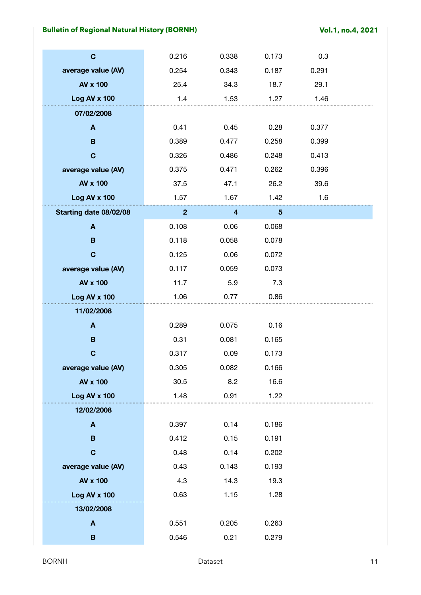| $\mathbf C$            | 0.216        | 0.338 | 0.173 | 0.3   |  |
|------------------------|--------------|-------|-------|-------|--|
| average value (AV)     | 0.254        | 0.343 | 0.187 | 0.291 |  |
| AV x 100               | 25.4         | 34.3  | 18.7  | 29.1  |  |
| Log AV x 100           | 1.4          | 1.53  | 1.27  | 1.46  |  |
| 07/02/2008             |              |       |       |       |  |
| $\blacktriangle$       | 0.41         | 0.45  | 0.28  | 0.377 |  |
| $\mathbf B$            | 0.389        | 0.477 | 0.258 | 0.399 |  |
| $\mathbf C$            | 0.326        | 0.486 | 0.248 | 0.413 |  |
| average value (AV)     | 0.375        | 0.471 | 0.262 | 0.396 |  |
| AV x 100               | 37.5         | 47.1  | 26.2  | 39.6  |  |
| Log AV x 100           | 1.57         | 1.67  | 1.42  | 1.6   |  |
| Starting date 08/02/08 | $\mathbf{2}$ | 4     | 5     |       |  |
| $\mathbf{A}$           | 0.108        | 0.06  | 0.068 |       |  |
| B                      | 0.118        | 0.058 | 0.078 |       |  |
| $\mathbf C$            | 0.125        | 0.06  | 0.072 |       |  |
| average value (AV)     | 0.117        | 0.059 | 0.073 |       |  |
| <b>AV x 100</b>        | 11.7         | 5.9   | 7.3   |       |  |
| Log AV x 100           | 1.06         | 0.77  | 0.86  |       |  |
| 11/02/2008             |              |       |       |       |  |
| A                      | 0.289        | 0.075 | 0.16  |       |  |
| B                      | 0.31         | 0.081 | 0.165 |       |  |
| $\mathbf C$            | 0.317        | 0.09  | 0.173 |       |  |
| average value (AV)     | 0.305        | 0.082 | 0.166 |       |  |
| <b>AV x 100</b>        | 30.5         | 8.2   | 16.6  |       |  |
| Log AV x 100           | 1.48         | 0.91  | 1.22  |       |  |
| 12/02/2008             |              |       |       |       |  |
| $\mathbf{A}$           | 0.397        | 0.14  | 0.186 |       |  |
| B                      | 0.412        | 0.15  | 0.191 |       |  |
| $\mathbf C$            | 0.48         | 0.14  | 0.202 |       |  |
| average value (AV)     | 0.43         | 0.143 | 0.193 |       |  |
| <b>AV x 100</b>        | 4.3          | 14.3  | 19.3  |       |  |
| Log AV x 100           | 0.63         | 1.15  | 1.28  |       |  |
| 13/02/2008             |              |       |       |       |  |
| $\boldsymbol{A}$       | 0.551        | 0.205 | 0.263 |       |  |
| B                      | 0.546        | 0.21  | 0.279 |       |  |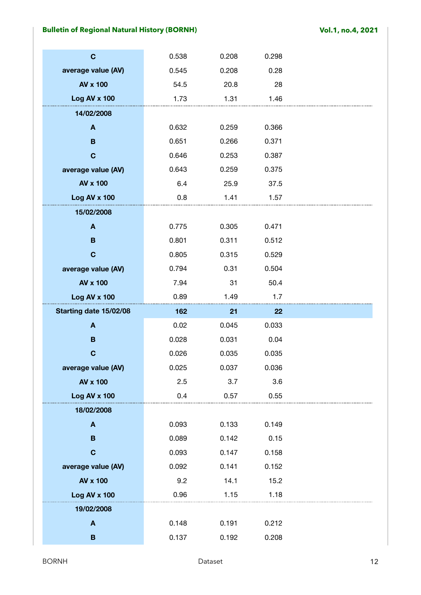| $\mathbf C$            | 0.538 | 0.208 | 0.298 |  |
|------------------------|-------|-------|-------|--|
| average value (AV)     | 0.545 | 0.208 | 0.28  |  |
| AV x 100               | 54.5  | 20.8  | 28    |  |
| Log AV x 100           | 1.73  | 1.31  | 1.46  |  |
| 14/02/2008             |       |       |       |  |
| $\boldsymbol{A}$       | 0.632 | 0.259 | 0.366 |  |
| $\mathbf B$            | 0.651 | 0.266 | 0.371 |  |
| $\mathbf C$            | 0.646 | 0.253 | 0.387 |  |
| average value (AV)     | 0.643 | 0.259 | 0.375 |  |
| <b>AV x 100</b>        | 6.4   | 25.9  | 37.5  |  |
| Log AV x 100           | 0.8   | 1.41  | 1.57  |  |
| 15/02/2008             |       |       |       |  |
| $\mathbf{A}$           | 0.775 | 0.305 | 0.471 |  |
| B                      | 0.801 | 0.311 | 0.512 |  |
| $\mathbf C$            | 0.805 | 0.315 | 0.529 |  |
| average value (AV)     | 0.794 | 0.31  | 0.504 |  |
| AV x 100               | 7.94  | 31    | 50.4  |  |
|                        |       |       |       |  |
| Log AV x 100           | 0.89  | 1.49  | 1.7   |  |
| Starting date 15/02/08 | 162   | 21    | 22    |  |
| A                      | 0.02  | 0.045 | 0.033 |  |
| $\mathbf B$            | 0.028 | 0.031 | 0.04  |  |
| $\mathbf C$            | 0.026 | 0.035 | 0.035 |  |
| average value (AV)     | 0.025 | 0.037 | 0.036 |  |
| <b>AV x 100</b>        | 2.5   | 3.7   | 3.6   |  |
| Log AV x 100           | 0.4   | 0.57  | 0.55  |  |
| 18/02/2008             |       |       |       |  |
| $\mathbf{A}$           | 0.093 | 0.133 | 0.149 |  |
| B                      | 0.089 | 0.142 | 0.15  |  |
| $\mathbf C$            | 0.093 | 0.147 | 0.158 |  |
| average value (AV)     | 0.092 | 0.141 | 0.152 |  |
| <b>AV x 100</b>        | 9.2   | 14.1  | 15.2  |  |
| Log AV x 100           | 0.96  | 1.15  | 1.18  |  |
| 19/02/2008             |       |       |       |  |
| A                      | 0.148 | 0.191 | 0.212 |  |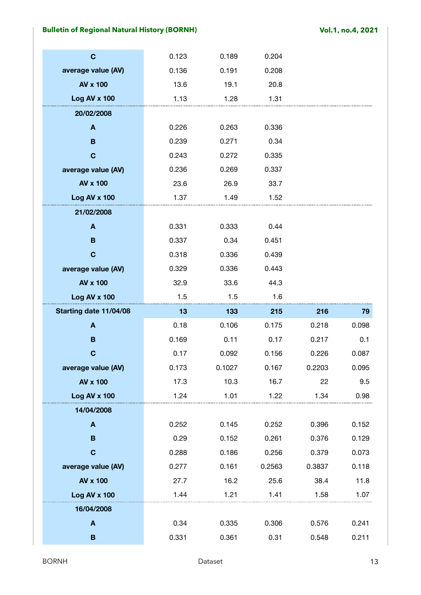| $\mathbf C$            | 0.123 | 0.189  | 0.204  |        |       |
|------------------------|-------|--------|--------|--------|-------|
| average value (AV)     | 0.136 | 0.191  | 0.208  |        |       |
| AV x 100               | 13.6  | 19.1   | 20.8   |        |       |
| Log AV x 100           | 1.13  | 1.28   | 1.31   |        |       |
| 20/02/2008             |       |        |        |        |       |
| A                      | 0.226 | 0.263  | 0.336  |        |       |
| B                      | 0.239 | 0.271  | 0.34   |        |       |
| $\mathbf C$            | 0.243 | 0.272  | 0.335  |        |       |
| average value (AV)     | 0.236 | 0.269  | 0.337  |        |       |
| <b>AV x 100</b>        | 23.6  | 26.9   | 33.7   |        |       |
| Log AV x 100           | 1.37  | 1.49   | 1.52   |        |       |
| 21/02/2008             |       |        |        |        |       |
| A                      | 0.331 | 0.333  | 0.44   |        |       |
| B                      | 0.337 | 0.34   | 0.451  |        |       |
| $\mathbf C$            | 0.318 | 0.336  | 0.439  |        |       |
| average value (AV)     | 0.329 | 0.336  | 0.443  |        |       |
| AV x 100               | 32.9  | 33.6   | 44.3   |        |       |
|                        |       |        |        |        |       |
| Log AV x 100           | 1.5   | 1.5    | 1.6    |        |       |
| Starting date 11/04/08 | 13    | 133    | 215    | 216    | 79    |
| A                      | 0.18  | 0.106  | 0.175  | 0.218  | 0.098 |
| B                      | 0.169 | 0.11   | 0.17   | 0.217  | 0.1   |
| $\mathbf C$            | 0.17  | 0.092  | 0.156  | 0.226  | 0.087 |
| average value (AV)     | 0.173 | 0.1027 | 0.167  | 0.2203 | 0.095 |
| <b>AV x 100</b>        | 17.3  | 10.3   | 16.7   | 22     | 9.5   |
| Log AV x 100           | 1.24  | 1.01   | 1.22   | 1.34   | 0.98  |
| 14/04/2008             |       |        |        |        |       |
| $\mathbf{A}$           | 0.252 | 0.145  | 0.252  | 0.396  | 0.152 |
| B                      | 0.29  | 0.152  | 0.261  | 0.376  | 0.129 |
| $\mathbf C$            | 0.288 | 0.186  | 0.256  | 0.379  | 0.073 |
| average value (AV)     | 0.277 | 0.161  | 0.2563 | 0.3837 | 0.118 |
| AV x 100               | 27.7  | 16.2   | 25.6   | 38.4   | 11.8  |
| Log AV x 100           | 1.44  | 1.21   | 1.41   | 1.58   | 1.07  |
| 16/04/2008             |       |        |        |        |       |
| $\blacktriangle$       | 0.34  | 0.335  | 0.306  | 0.576  | 0.241 |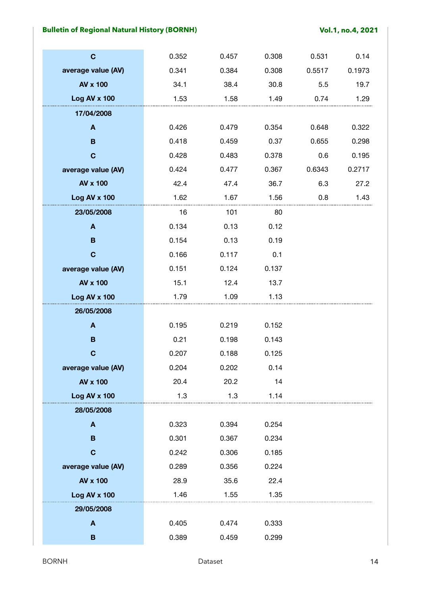| $\mathbf C$        | 0.352 | 0.457 | 0.308 | 0.531  | 0.14   |
|--------------------|-------|-------|-------|--------|--------|
| average value (AV) | 0.341 | 0.384 | 0.308 | 0.5517 | 0.1973 |
| AV x 100           | 34.1  | 38.4  | 30.8  | 5.5    | 19.7   |
| Log AV x 100       | 1.53  | 1.58  | 1.49  | 0.74   | 1.29   |
| 17/04/2008         |       |       |       |        |        |
| $\blacktriangle$   | 0.426 | 0.479 | 0.354 | 0.648  | 0.322  |
| $\mathbf B$        | 0.418 | 0.459 | 0.37  | 0.655  | 0.298  |
| $\mathbf C$        | 0.428 | 0.483 | 0.378 | 0.6    | 0.195  |
| average value (AV) | 0.424 | 0.477 | 0.367 | 0.6343 | 0.2717 |
| AV x 100           | 42.4  | 47.4  | 36.7  | 6.3    | 27.2   |
| Log AV x 100       | 1.62  | 1.67  | 1.56  | 0.8    | 1.43   |
| 23/05/2008         | 16    | 101   | 80    |        |        |
| A                  | 0.134 | 0.13  | 0.12  |        |        |
| $\mathbf B$        | 0.154 | 0.13  | 0.19  |        |        |
| $\mathbf C$        | 0.166 | 0.117 | 0.1   |        |        |
| average value (AV) | 0.151 | 0.124 | 0.137 |        |        |
| <b>AV x 100</b>    | 15.1  | 12.4  | 13.7  |        |        |
| Log AV x 100       | 1.79  | 1.09  | 1.13  |        |        |
| 26/05/2008         |       |       |       |        |        |
| A                  | 0.195 | 0.219 | 0.152 |        |        |
| B                  | 0.21  | 0.198 | 0.143 |        |        |
| $\mathbf C$        | 0.207 | 0.188 | 0.125 |        |        |
| average value (AV) | 0.204 | 0.202 | 0.14  |        |        |
| <b>AV x 100</b>    | 20.4  | 20.2  | 14    |        |        |
| Log AV x 100       | 1.3   | 1.3   | 1.14  |        |        |
| 28/05/2008         |       |       |       |        |        |
| $\mathbf{A}$       | 0.323 | 0.394 | 0.254 |        |        |
| B                  | 0.301 | 0.367 | 0.234 |        |        |
| $\mathbf C$        | 0.242 | 0.306 | 0.185 |        |        |
| average value (AV) | 0.289 | 0.356 | 0.224 |        |        |
| AV x 100           | 28.9  | 35.6  | 22.4  |        |        |
| Log AV x 100       | 1.46  | 1.55  | 1.35  |        |        |
| 29/05/2008         |       |       |       |        |        |
| $\boldsymbol{A}$   | 0.405 | 0.474 | 0.333 |        |        |
| B                  | 0.389 | 0.459 | 0.299 |        |        |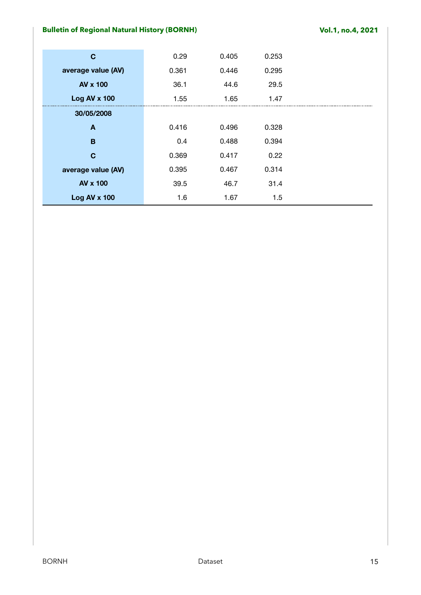| C                   | 0.29  | 0.405 | 0.253 |
|---------------------|-------|-------|-------|
| average value (AV)  | 0.361 | 0.446 | 0.295 |
| <b>AV x 100</b>     | 36.1  | 44.6  | 29.5  |
| <b>Log AV x 100</b> | 1.55  | 1.65  | 1.47  |
| 30/05/2008          |       |       |       |
| A                   | 0.416 | 0.496 | 0.328 |
| B                   | 0.4   | 0.488 | 0.394 |
| C                   | 0.369 | 0.417 | 0.22  |
| average value (AV)  | 0.395 | 0.467 | 0.314 |
| <b>AV x 100</b>     | 39.5  | 46.7  | 31.4  |
| <b>Log AV x 100</b> | 1.6   | 1.67  | 1.5   |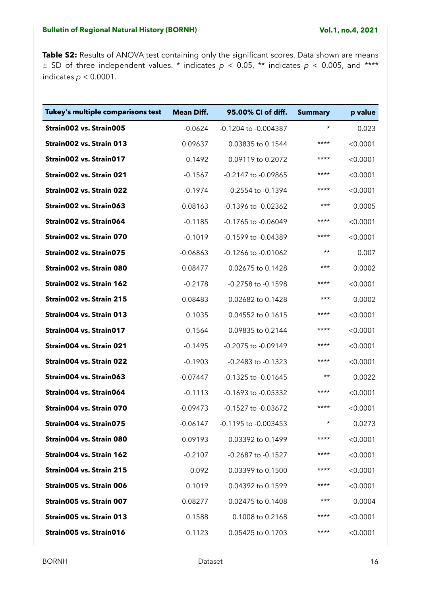Table S2: Results of ANOVA test containing only the significant scores. Data shown are means  $\pm$  SD of three independent values. \* indicates  $p$  < 0.05, \*\* indicates  $p$  < 0.005, and \*\*\*\* indicates *p* < 0.0001.

| Tukey's multiple comparisons test | <b>Mean Diff.</b> | 95.00% CI of diff.       | <b>Summary</b> | p value  |
|-----------------------------------|-------------------|--------------------------|----------------|----------|
| Strain002 vs. Strain005           | $-0.0624$         | -0.1204 to -0.004387     | $^\star$       | 0.023    |
| Strain002 vs. Strain 013          | 0.09637           | 0.03835 to 0.1544        | ****           | < 0.0001 |
| Strain002 vs. Strain017           | 0.1492            | 0.09119 to 0.2072        | $***$          | < 0.0001 |
| Strain002 vs. Strain 021          | $-0.1567$         | -0.2147 to -0.09865      | ****           | < 0.0001 |
| Strain002 vs. Strain 022          | $-0.1974$         | -0.2554 to -0.1394       | ****           | < 0.0001 |
| Strain002 vs. Strain063           | $-0.08163$        | -0.1396 to -0.02362      | $***$          | 0.0005   |
| Strain002 vs. Strain064           | $-0.1185$         | -0.1765 to -0.06049      | $***$          | < 0.0001 |
| Strain002 vs. Strain 070          | $-0.1019$         | -0.1599 to -0.04389      | ****           | < 0.0001 |
| Strain002 vs. Strain075           | $-0.06863$        | -0.1266 to -0.01062      | $\star\star$   | 0.007    |
| Strain002 vs. Strain 080          | 0.08477           | 0.02675 to 0.1428        | $***$          | 0.0002   |
| Strain002 vs. Strain 162          | $-0.2178$         | -0.2758 to -0.1598       | ****           | < 0.0001 |
| Strain002 vs. Strain 215          | 0.08483           | 0.02682 to 0.1428        | $***$          | 0.0002   |
| Strain004 vs. Strain 013          | 0.1035            | 0.04552 to 0.1615        | $***$          | < 0.0001 |
| Strain004 vs. Strain017           | 0.1564            | 0.09835 to 0.2144        | ****           | < 0.0001 |
| Strain004 vs. Strain 021          | $-0.1495$         | -0.2075 to -0.09149      | $***$          | < 0.0001 |
| Strain004 vs. Strain 022          | $-0.1903$         | -0.2483 to -0.1323       | $***$          | < 0.0001 |
| Strain004 vs. Strain063           | $-0.07447$        | -0.1325 to -0.01645      | $\star\star$   | 0.0022   |
| Strain004 vs. Strain064           | $-0.1113$         | -0.1693 to -0.05332      | $***$          | < 0.0001 |
| Strain004 vs. Strain 070          | $-0.09473$        | -0.1527 to -0.03672      | $***$          | < 0.0001 |
| Strain004 vs. Strain075           | $-0.06147$        | $-0.1195$ to $-0.003453$ | $^\star$       | 0.0273   |
| Strain004 vs. Strain 080          | 0.09193           | 0.03392 to 0.1499        | ****           | < 0.0001 |
| Strain004 vs. Strain 162          | $-0.2107$         | -0.2687 to -0.1527       | ****           | < 0.0001 |
| Strain004 vs. Strain 215          | 0.092             | 0.03399 to 0.1500        | ****           | < 0.0001 |
| Strain005 vs. Strain 006          | 0.1019            | 0.04392 to 0.1599        | $***$          | < 0.0001 |
| Strain005 vs. Strain 007          | 0.08277           | 0.02475 to 0.1408        | $***$          | 0.0004   |
| Strain005 vs. Strain 013          | 0.1588            | 0.1008 to 0.2168         | ****           | < 0.0001 |
| Strain005 vs. Strain016           | 0.1123            | 0.05425 to 0.1703        | ****           | < 0.0001 |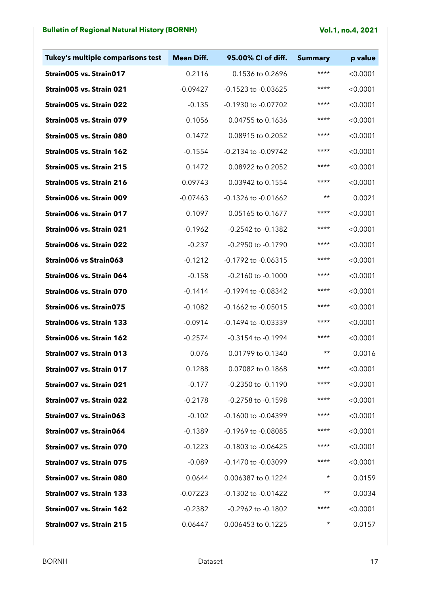| Tukey's multiple comparisons test | <b>Mean Diff.</b> | 95.00% CI of diff.      | <b>Summary</b> | p value  |
|-----------------------------------|-------------------|-------------------------|----------------|----------|
| Strain005 vs. Strain017           | 0.2116            | 0.1536 to 0.2696        | ****           | < 0.0001 |
| Strain005 vs. Strain 021          | $-0.09427$        | -0.1523 to -0.03625     | ****           | < 0.0001 |
| Strain005 vs. Strain 022          | $-0.135$          | -0.1930 to -0.07702     | ****           | < 0.0001 |
| Strain005 vs. Strain 079          | 0.1056            | 0.04755 to 0.1636       | $***$          | < 0.0001 |
| Strain005 vs. Strain 080          | 0.1472            | 0.08915 to 0.2052       | ****           | < 0.0001 |
| Strain005 vs. Strain 162          | $-0.1554$         | -0.2134 to -0.09742     | ****           | < 0.0001 |
| Strain005 vs. Strain 215          | 0.1472            | 0.08922 to 0.2052       | $***$          | < 0.0001 |
| Strain005 vs. Strain 216          | 0.09743           | 0.03942 to 0.1554       | ****           | < 0.0001 |
| Strain006 vs. Strain 009          | $-0.07463$        | -0.1326 to -0.01662     | $\star\star$   | 0.0021   |
| Strain006 vs. Strain 017          | 0.1097            | 0.05165 to 0.1677       | $***$          | < 0.0001 |
| Strain006 vs. Strain 021          | $-0.1962$         | -0.2542 to -0.1382      | ****           | < 0.0001 |
| Strain006 vs. Strain 022          | $-0.237$          | -0.2950 to -0.1790      | ****           | < 0.0001 |
| Strain006 vs Strain063            | $-0.1212$         | -0.1792 to -0.06315     | $***$          | < 0.0001 |
| Strain006 vs. Strain 064          | $-0.158$          | -0.2160 to -0.1000      | ****           | < 0.0001 |
| Strain006 vs. Strain 070          | $-0.1414$         | -0.1994 to -0.08342     | ****           | < 0.0001 |
| Strain006 vs. Strain075           | $-0.1082$         | -0.1662 to -0.05015     | $***$          | < 0.0001 |
| Strain006 vs. Strain 133          | $-0.0914$         | -0.1494 to -0.03339     | ****           | < 0.0001 |
| Strain006 vs. Strain 162          | $-0.2574$         | -0.3154 to -0.1994      | ****           | < 0.0001 |
| Strain007 vs. Strain 013          | 0.076             | 0.01799 to 0.1340       | $\star\star$   | 0.0016   |
| Strain007 vs. Strain 017          | 0.1288            | 0.07082 to 0.1868       | ****           | < 0.0001 |
| Strain007 vs. Strain 021          | $-0.177$          | -0.2350 to -0.1190      | ****           | < 0.0001 |
| Strain007 vs. Strain 022          | $-0.2178$         | -0.2758 to -0.1598      | ****           | < 0.0001 |
| Strain007 vs. Strain063           | $-0.102$          | -0.1600 to -0.04399     | ****           | < 0.0001 |
| Strain007 vs. Strain064           | $-0.1389$         | $-0.1969$ to $-0.08085$ | ****           | < 0.0001 |
| Strain007 vs. Strain 070          | $-0.1223$         | -0.1803 to -0.06425     | ****           | < 0.0001 |
| Strain007 vs. Strain 075          | $-0.089$          | -0.1470 to -0.03099     | ****           | < 0.0001 |
| Strain007 vs. Strain 080          | 0.0644            | 0.006387 to 0.1224      | $^\star$       | 0.0159   |
| Strain007 vs. Strain 133          | $-0.07223$        | -0.1302 to -0.01422     | $\star\star$   | 0.0034   |
| Strain007 vs. Strain 162          | $-0.2382$         | -0.2962 to -0.1802      | ****           | < 0.0001 |
| Strain007 vs. Strain 215          | 0.06447           | 0.006453 to 0.1225      | $\star$        | 0.0157   |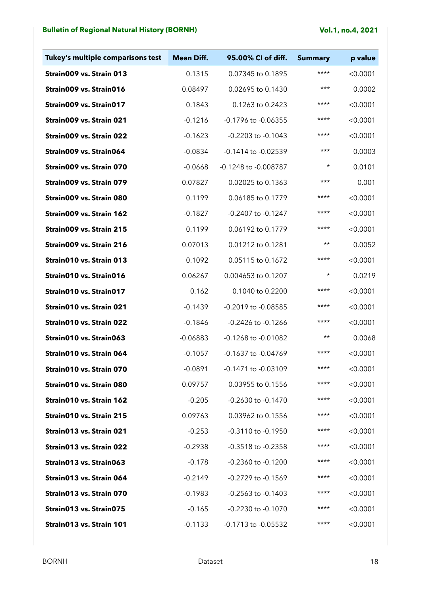| Tukey's multiple comparisons test | <b>Mean Diff.</b> | 95.00% CI of diff.     | <b>Summary</b> | p value  |
|-----------------------------------|-------------------|------------------------|----------------|----------|
| Strain009 vs. Strain 013          | 0.1315            | 0.07345 to 0.1895      | $***$          | < 0.0001 |
| Strain009 vs. Strain016           | 0.08497           | 0.02695 to 0.1430      | $***$          | 0.0002   |
| Strain009 vs. Strain017           | 0.1843            | 0.1263 to 0.2423       | ****           | < 0.0001 |
| Strain009 vs. Strain 021          | $-0.1216$         | -0.1796 to -0.06355    | $***$          | < 0.0001 |
| Strain009 vs. Strain 022          | $-0.1623$         | -0.2203 to -0.1043     | ****           | < 0.0001 |
| Strain009 vs. Strain064           | $-0.0834$         | -0.1414 to -0.02539    | $***$          | 0.0003   |
| Strain009 vs. Strain 070          | $-0.0668$         | -0.1248 to -0.008787   | $^\star$       | 0.0101   |
| Strain009 vs. Strain 079          | 0.07827           | 0.02025 to 0.1363      | $***$          | 0.001    |
| Strain009 vs. Strain 080          | 0.1199            | 0.06185 to 0.1779      | ****           | < 0.0001 |
| Strain009 vs. Strain 162          | $-0.1827$         | -0.2407 to -0.1247     | $***$          | < 0.0001 |
| Strain009 vs. Strain 215          | 0.1199            | 0.06192 to 0.1779      | ****           | < 0.0001 |
| Strain009 vs. Strain 216          | 0.07013           | 0.01212 to 0.1281      | $\star\star$   | 0.0052   |
| Strain010 vs. Strain 013          | 0.1092            | 0.05115 to 0.1672      | ****           | < 0.0001 |
| Strain010 vs. Strain016           | 0.06267           | 0.004653 to 0.1207     | $^\star$       | 0.0219   |
| Strain010 vs. Strain017           | 0.162             | 0.1040 to 0.2200       | ****           | < 0.0001 |
| Strain010 vs. Strain 021          | $-0.1439$         | -0.2019 to -0.08585    | ****           | < 0.0001 |
| Strain010 vs. Strain 022          | $-0.1846$         | -0.2426 to -0.1266     | ****           | < 0.0001 |
| Strain010 vs. Strain063           | $-0.06883$        | -0.1268 to -0.01082    | $\star\star$   | 0.0068   |
| Strain010 vs. Strain 064          | $-0.1057$         | -0.1637 to -0.04769    | $***$          | < 0.0001 |
| Strain010 vs. Strain 070          | $-0.0891$         | -0.1471 to -0.03109    | ****           | < 0.0001 |
| Strain010 vs. Strain 080          | 0.09757           | 0.03955 to 0.1556      | ****           | < 0.0001 |
| Strain010 vs. Strain 162          | $-0.205$          | -0.2630 to -0.1470     | ****           | < 0.0001 |
| Strain010 vs. Strain 215          | 0.09763           | 0.03962 to 0.1556      | $***$          | < 0.0001 |
| Strain013 vs. Strain 021          | $-0.253$          | -0.3110 to -0.1950     | $***$          | < 0.0001 |
| Strain013 vs. Strain 022          | $-0.2938$         | -0.3518 to -0.2358     | $***$          | < 0.0001 |
| Strain013 vs. Strain063           | $-0.178$          | $-0.2360$ to $-0.1200$ | $***$          | < 0.0001 |
| Strain013 vs. Strain 064          | $-0.2149$         | $-0.2729$ to $-0.1569$ | ****           | < 0.0001 |
| Strain013 vs. Strain 070          | $-0.1983$         | $-0.2563$ to $-0.1403$ | ****           | < 0.0001 |
| Strain013 vs. Strain075           | $-0.165$          | $-0.2230$ to $-0.1070$ | $***$          | < 0.0001 |
| Strain013 vs. Strain 101          | $-0.1133$         | -0.1713 to -0.05532    | $***$          | < 0.0001 |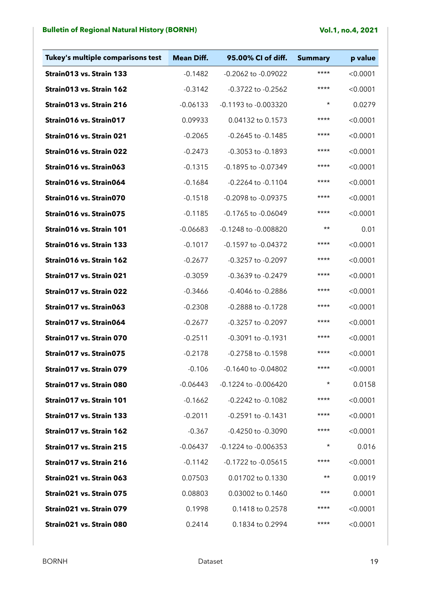| Tukey's multiple comparisons test | <b>Mean Diff.</b> | 95.00% CI of diff.      | <b>Summary</b> | p value  |
|-----------------------------------|-------------------|-------------------------|----------------|----------|
| Strain013 vs. Strain 133          | $-0.1482$         | -0.2062 to -0.09022     | $***$          | < 0.0001 |
| Strain013 vs. Strain 162          | $-0.3142$         | -0.3722 to -0.2562      | ****           | < 0.0001 |
| Strain013 vs. Strain 216          | $-0.06133$        | -0.1193 to -0.003320    | $^\star$       | 0.0279   |
| Strain016 vs. Strain017           | 0.09933           | 0.04132 to 0.1573       | ****           | < 0.0001 |
| Strain016 vs. Strain 021          | $-0.2065$         | -0.2645 to -0.1485      | ****           | < 0.0001 |
| Strain016 vs. Strain 022          | $-0.2473$         | -0.3053 to -0.1893      | ****           | < 0.0001 |
| Strain016 vs. Strain063           | $-0.1315$         | -0.1895 to -0.07349     | $***$          | < 0.0001 |
| Strain016 vs. Strain064           | $-0.1684$         | -0.2264 to -0.1104      | ****           | < 0.0001 |
| Strain016 vs. Strain070           | $-0.1518$         | -0.2098 to -0.09375     | $***$          | < 0.0001 |
| Strain016 vs. Strain075           | $-0.1185$         | -0.1765 to -0.06049     | $***$          | < 0.0001 |
| Strain016 vs. Strain 101          | $-0.06683$        | -0.1248 to -0.008820    | $\star\star$   | 0.01     |
| Strain016 vs. Strain 133          | $-0.1017$         | -0.1597 to -0.04372     | ****           | < 0.0001 |
| Strain016 vs. Strain 162          | $-0.2677$         | -0.3257 to -0.2097      | $***$          | < 0.0001 |
| Strain017 vs. Strain 021          | $-0.3059$         | -0.3639 to -0.2479      | ****           | < 0.0001 |
| Strain017 vs. Strain 022          | $-0.3466$         | -0.4046 to -0.2886      | ****           | < 0.0001 |
| Strain017 vs. Strain063           | $-0.2308$         | -0.2888 to -0.1728      | ****           | < 0.0001 |
| Strain017 vs. Strain064           | $-0.2677$         | -0.3257 to -0.2097      | ****           | < 0.0001 |
| Strain017 vs. Strain 070          | $-0.2511$         | -0.3091 to -0.1931      | $***$          | < 0.0001 |
| Strain017 vs. Strain075           | $-0.2178$         | -0.2758 to -0.1598      | $***$          | < 0.0001 |
| Strain017 vs. Strain 079          | $-0.106$          | -0.1640 to -0.04802     | ****           | < 0.0001 |
| Strain017 vs. Strain 080          | $-0.06443$        | -0.1224 to -0.006420    | $^\star$       | 0.0158   |
| Strain017 vs. Strain 101          | $-0.1662$         | -0.2242 to -0.1082      | $***$          | < 0.0001 |
| Strain017 vs. Strain 133          | $-0.2011$         | -0.2591 to -0.1431      | $***$          | < 0.0001 |
| Strain017 vs. Strain 162          | $-0.367$          | -0.4250 to -0.3090      | ****           | < 0.0001 |
| Strain017 vs. Strain 215          | $-0.06437$        | -0.1224 to -0.006353    | $^\star$       | 0.016    |
| Strain017 vs. Strain 216          | $-0.1142$         | $-0.1722$ to $-0.05615$ | ****           | < 0.0001 |
| Strain021 vs. Strain 063          | 0.07503           | 0.01702 to 0.1330       | $\star\star$   | 0.0019   |
| Strain021 vs. Strain 075          | 0.08803           | 0.03002 to 0.1460       | $***$          | 0.0001   |
| Strain021 vs. Strain 079          | 0.1998            | 0.1418 to 0.2578        | ****           | < 0.0001 |
| Strain021 vs. Strain 080          | 0.2414            | 0.1834 to 0.2994        | $***$          | < 0.0001 |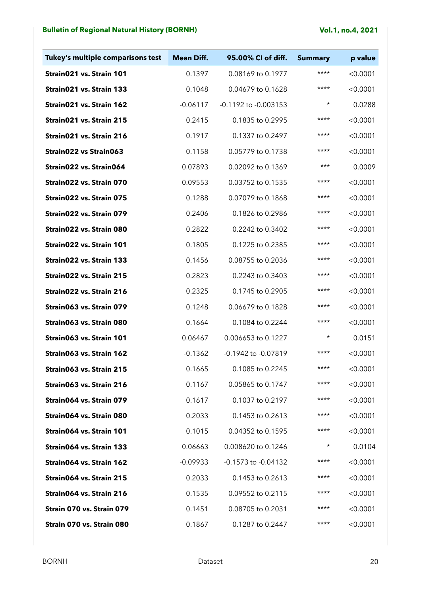| Tukey's multiple comparisons test | <b>Mean Diff.</b> | 95.00% CI of diff.   | <b>Summary</b> | p value  |
|-----------------------------------|-------------------|----------------------|----------------|----------|
| Strain021 vs. Strain 101          | 0.1397            | 0.08169 to 0.1977    | ****           | < 0.0001 |
| Strain021 vs. Strain 133          | 0.1048            | 0.04679 to 0.1628    | ****           | < 0.0001 |
| Strain021 vs. Strain 162          | $-0.06117$        | -0.1192 to -0.003153 | $\star$        | 0.0288   |
| Strain021 vs. Strain 215          | 0.2415            | 0.1835 to 0.2995     | $***$          | < 0.0001 |
| Strain021 vs. Strain 216          | 0.1917            | 0.1337 to 0.2497     | ****           | < 0.0001 |
| Strain022 vs Strain063            | 0.1158            | 0.05779 to 0.1738    | $***$          | < 0.0001 |
| Strain022 vs. Strain064           | 0.07893           | 0.02092 to 0.1369    | $***$          | 0.0009   |
| Strain022 vs. Strain 070          | 0.09553           | 0.03752 to 0.1535    | ****           | < 0.0001 |
| Strain022 vs. Strain 075          | 0.1288            | 0.07079 to 0.1868    | ****           | < 0.0001 |
| Strain022 vs. Strain 079          | 0.2406            | 0.1826 to 0.2986     | $***$          | < 0.0001 |
| Strain022 vs. Strain 080          | 0.2822            | 0.2242 to 0.3402     | ****           | < 0.0001 |
| Strain022 vs. Strain 101          | 0.1805            | 0.1225 to 0.2385     | ****           | < 0.0001 |
| Strain022 vs. Strain 133          | 0.1456            | 0.08755 to 0.2036    | $***$          | < 0.0001 |
| Strain022 vs. Strain 215          | 0.2823            | 0.2243 to 0.3403     | ****           | < 0.0001 |
| Strain022 vs. Strain 216          | 0.2325            | 0.1745 to 0.2905     | ****           | < 0.0001 |
| Strain063 vs. Strain 079          | 0.1248            | 0.06679 to 0.1828    | $***$          | < 0.0001 |
| Strain063 vs. Strain 080          | 0.1664            | 0.1084 to 0.2244     | $***$          | < 0.0001 |
| Strain063 vs. Strain 101          | 0.06467           | 0.006653 to 0.1227   | $\star$        | 0.0151   |
| Strain063 vs. Strain 162          | $-0.1362$         | -0.1942 to -0.07819  | ****           | < 0.0001 |
| Strain063 vs. Strain 215          | 0.1665            | 0.1085 to 0.2245     | ****           | < 0.0001 |
| Strain063 vs. Strain 216          | 0.1167            | 0.05865 to 0.1747    | $***$          | < 0.0001 |
| Strain064 vs. Strain 079          | 0.1617            | 0.1037 to 0.2197     | ****           | < 0.0001 |
| Strain064 vs. Strain 080          | 0.2033            | 0.1453 to 0.2613     | ****           | < 0.0001 |
| Strain064 vs. Strain 101          | 0.1015            | 0.04352 to 0.1595    | ****           | < 0.0001 |
| Strain064 vs. Strain 133          | 0.06663           | 0.008620 to 0.1246   | $^\star$       | 0.0104   |
| Strain064 vs. Strain 162          | $-0.09933$        | -0.1573 to -0.04132  | ****           | < 0.0001 |
| Strain064 vs. Strain 215          | 0.2033            | 0.1453 to 0.2613     | ****           | < 0.0001 |
| Strain064 vs. Strain 216          | 0.1535            | 0.09552 to 0.2115    | ****           | < 0.0001 |
| Strain 070 vs. Strain 079         | 0.1451            | 0.08705 to 0.2031    | ****           | < 0.0001 |
| Strain 070 vs. Strain 080         | 0.1867            | 0.1287 to 0.2447     | $***$          | < 0.0001 |